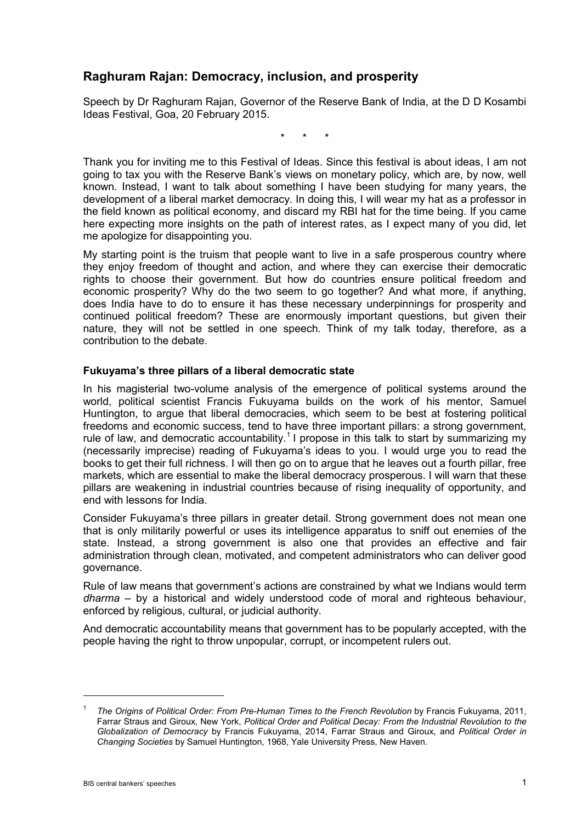# **Raghuram Rajan: Democracy, inclusion, and prosperity**

Speech by Dr Raghuram Rajan, Governor of the Reserve Bank of India, at the D D Kosambi Ideas Festival, Goa, 20 February 2015.

\* \* \*

Thank you for inviting me to this Festival of Ideas. Since this festival is about ideas, I am not going to tax you with the Reserve Bank's views on monetary policy, which are, by now, well known. Instead, I want to talk about something I have been studying for many years, the development of a liberal market democracy. In doing this, I will wear my hat as a professor in the field known as political economy, and discard my RBI hat for the time being. If you came here expecting more insights on the path of interest rates, as I expect many of you did, let me apologize for disappointing you.

My starting point is the truism that people want to live in a safe prosperous country where they enjoy freedom of thought and action, and where they can exercise their democratic rights to choose their government. But how do countries ensure political freedom and economic prosperity? Why do the two seem to go together? And what more, if anything, does India have to do to ensure it has these necessary underpinnings for prosperity and continued political freedom? These are enormously important questions, but given their nature, they will not be settled in one speech. Think of my talk today, therefore, as a contribution to the debate.

## **Fukuyama's three pillars of a liberal democratic state**

In his magisterial two-volume analysis of the emergence of political systems around the world, political scientist Francis Fukuyama builds on the work of his mentor, Samuel Huntington, to argue that liberal democracies, which seem to be best at fostering political freedoms and economic success, tend to have three important pillars: a strong government, rule of law, and democratic accountability.<sup>[1](#page-0-0)</sup> I propose in this talk to start by summarizing my (necessarily imprecise) reading of Fukuyama's ideas to you. I would urge you to read the books to get their full richness. I will then go on to argue that he leaves out a fourth pillar, free markets, which are essential to make the liberal democracy prosperous. I will warn that these pillars are weakening in industrial countries because of rising inequality of opportunity, and end with lessons for India.

Consider Fukuyama's three pillars in greater detail. Strong government does not mean one that is only militarily powerful or uses its intelligence apparatus to sniff out enemies of the state. Instead, a strong government is also one that provides an effective and fair administration through clean, motivated, and competent administrators who can deliver good governance.

Rule of law means that government's actions are constrained by what we Indians would term *dharma* – by a historical and widely understood code of moral and righteous behaviour, enforced by religious, cultural, or judicial authority.

And democratic accountability means that government has to be popularly accepted, with the people having the right to throw unpopular, corrupt, or incompetent rulers out.

-

<span id="page-0-0"></span><sup>1</sup> *The Origins of Political Order: From Pre-Human Times to the French Revolution* by Francis Fukuyama, 2011, Farrar Straus and Giroux, New York, *Political Order and Political Decay: From the Industrial Revolution to the Globalization of Democracy* by Francis Fukuyama, 2014, Farrar Straus and Giroux, and *Political Order in Changing Societies* by Samuel Huntington, 1968, Yale University Press, New Haven.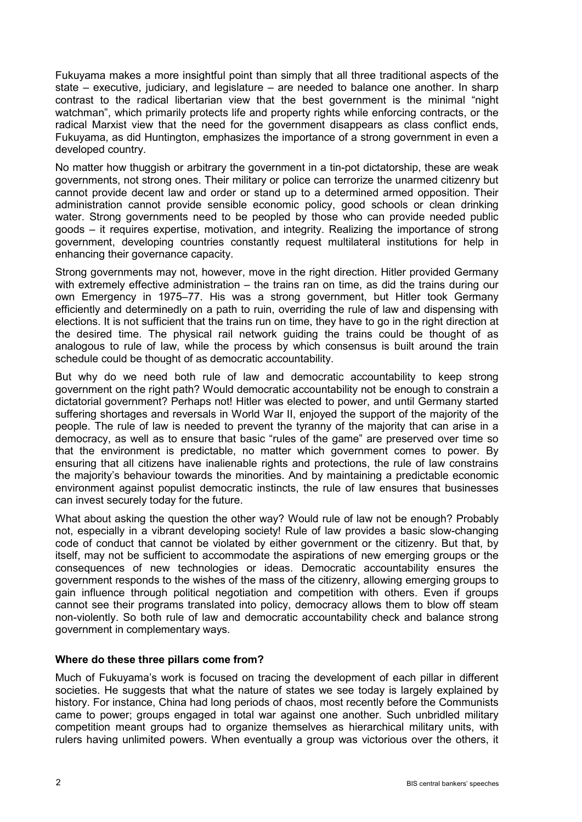Fukuyama makes a more insightful point than simply that all three traditional aspects of the state – executive, judiciary, and legislature – are needed to balance one another. In sharp contrast to the radical libertarian view that the best government is the minimal "night watchman", which primarily protects life and property rights while enforcing contracts, or the radical Marxist view that the need for the government disappears as class conflict ends, Fukuyama, as did Huntington, emphasizes the importance of a strong government in even a developed country.

No matter how thuggish or arbitrary the government in a tin-pot dictatorship, these are weak governments, not strong ones. Their military or police can terrorize the unarmed citizenry but cannot provide decent law and order or stand up to a determined armed opposition. Their administration cannot provide sensible economic policy, good schools or clean drinking water. Strong governments need to be peopled by those who can provide needed public goods – it requires expertise, motivation, and integrity. Realizing the importance of strong government, developing countries constantly request multilateral institutions for help in enhancing their governance capacity.

Strong governments may not, however, move in the right direction. Hitler provided Germany with extremely effective administration – the trains ran on time, as did the trains during our own Emergency in 1975–77. His was a strong government, but Hitler took Germany efficiently and determinedly on a path to ruin, overriding the rule of law and dispensing with elections. It is not sufficient that the trains run on time, they have to go in the right direction at the desired time. The physical rail network guiding the trains could be thought of as analogous to rule of law, while the process by which consensus is built around the train schedule could be thought of as democratic accountability.

But why do we need both rule of law and democratic accountability to keep strong government on the right path? Would democratic accountability not be enough to constrain a dictatorial government? Perhaps not! Hitler was elected to power, and until Germany started suffering shortages and reversals in World War II, enjoyed the support of the majority of the people. The rule of law is needed to prevent the tyranny of the majority that can arise in a democracy, as well as to ensure that basic "rules of the game" are preserved over time so that the environment is predictable, no matter which government comes to power. By ensuring that all citizens have inalienable rights and protections, the rule of law constrains the majority's behaviour towards the minorities. And by maintaining a predictable economic environment against populist democratic instincts, the rule of law ensures that businesses can invest securely today for the future.

What about asking the question the other way? Would rule of law not be enough? Probably not, especially in a vibrant developing society! Rule of law provides a basic slow-changing code of conduct that cannot be violated by either government or the citizenry. But that, by itself, may not be sufficient to accommodate the aspirations of new emerging groups or the consequences of new technologies or ideas. Democratic accountability ensures the government responds to the wishes of the mass of the citizenry, allowing emerging groups to gain influence through political negotiation and competition with others. Even if groups cannot see their programs translated into policy, democracy allows them to blow off steam non-violently. So both rule of law and democratic accountability check and balance strong government in complementary ways.

### **Where do these three pillars come from?**

Much of Fukuyama's work is focused on tracing the development of each pillar in different societies. He suggests that what the nature of states we see today is largely explained by history. For instance, China had long periods of chaos, most recently before the Communists came to power; groups engaged in total war against one another. Such unbridled military competition meant groups had to organize themselves as hierarchical military units, with rulers having unlimited powers. When eventually a group was victorious over the others, it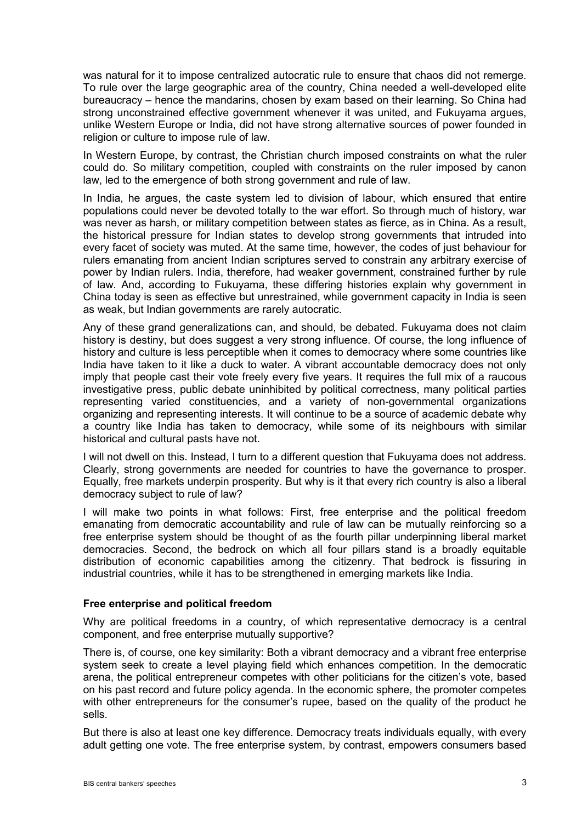was natural for it to impose centralized autocratic rule to ensure that chaos did not remerge. To rule over the large geographic area of the country, China needed a well-developed elite bureaucracy – hence the mandarins, chosen by exam based on their learning. So China had strong unconstrained effective government whenever it was united, and Fukuyama argues, unlike Western Europe or India, did not have strong alternative sources of power founded in religion or culture to impose rule of law.

In Western Europe, by contrast, the Christian church imposed constraints on what the ruler could do. So military competition, coupled with constraints on the ruler imposed by canon law, led to the emergence of both strong government and rule of law.

In India, he argues, the caste system led to division of labour, which ensured that entire populations could never be devoted totally to the war effort. So through much of history, war was never as harsh, or military competition between states as fierce, as in China. As a result, the historical pressure for Indian states to develop strong governments that intruded into every facet of society was muted. At the same time, however, the codes of just behaviour for rulers emanating from ancient Indian scriptures served to constrain any arbitrary exercise of power by Indian rulers. India, therefore, had weaker government, constrained further by rule of law. And, according to Fukuyama, these differing histories explain why government in China today is seen as effective but unrestrained, while government capacity in India is seen as weak, but Indian governments are rarely autocratic.

Any of these grand generalizations can, and should, be debated. Fukuyama does not claim history is destiny, but does suggest a very strong influence. Of course, the long influence of history and culture is less perceptible when it comes to democracy where some countries like India have taken to it like a duck to water. A vibrant accountable democracy does not only imply that people cast their vote freely every five years. It requires the full mix of a raucous investigative press, public debate uninhibited by political correctness, many political parties representing varied constituencies, and a variety of non-governmental organizations organizing and representing interests. It will continue to be a source of academic debate why a country like India has taken to democracy, while some of its neighbours with similar historical and cultural pasts have not.

I will not dwell on this. Instead, I turn to a different question that Fukuyama does not address. Clearly, strong governments are needed for countries to have the governance to prosper. Equally, free markets underpin prosperity. But why is it that every rich country is also a liberal democracy subject to rule of law?

I will make two points in what follows: First, free enterprise and the political freedom emanating from democratic accountability and rule of law can be mutually reinforcing so a free enterprise system should be thought of as the fourth pillar underpinning liberal market democracies. Second, the bedrock on which all four pillars stand is a broadly equitable distribution of economic capabilities among the citizenry. That bedrock is fissuring in industrial countries, while it has to be strengthened in emerging markets like India.

## **Free enterprise and political freedom**

Why are political freedoms in a country, of which representative democracy is a central component, and free enterprise mutually supportive?

There is, of course, one key similarity: Both a vibrant democracy and a vibrant free enterprise system seek to create a level playing field which enhances competition. In the democratic arena, the political entrepreneur competes with other politicians for the citizen's vote, based on his past record and future policy agenda. In the economic sphere, the promoter competes with other entrepreneurs for the consumer's rupee, based on the quality of the product he sells.

But there is also at least one key difference. Democracy treats individuals equally, with every adult getting one vote. The free enterprise system, by contrast, empowers consumers based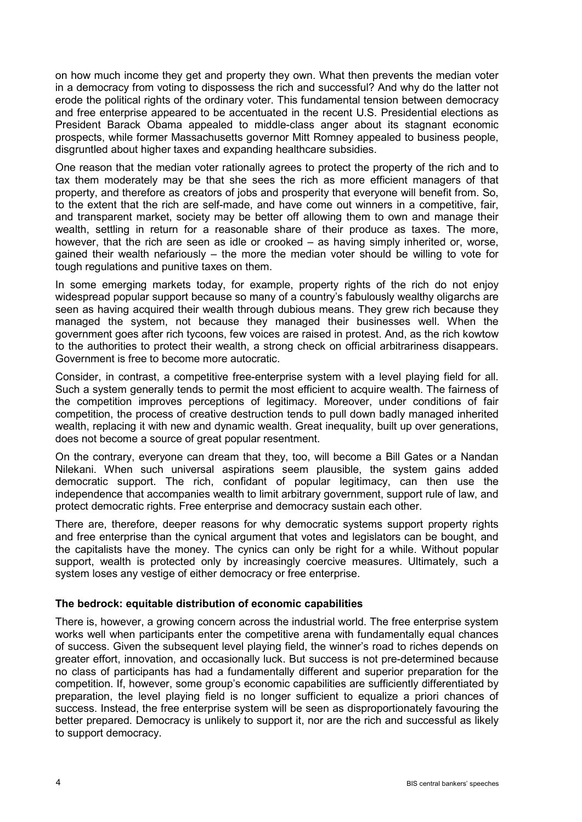on how much income they get and property they own. What then prevents the median voter in a democracy from voting to dispossess the rich and successful? And why do the latter not erode the political rights of the ordinary voter. This fundamental tension between democracy and free enterprise appeared to be accentuated in the recent U.S. Presidential elections as President Barack Obama appealed to middle-class anger about its stagnant economic prospects, while former Massachusetts governor Mitt Romney appealed to business people, disgruntled about higher taxes and expanding healthcare subsidies.

One reason that the median voter rationally agrees to protect the property of the rich and to tax them moderately may be that she sees the rich as more efficient managers of that property, and therefore as creators of jobs and prosperity that everyone will benefit from. So, to the extent that the rich are self-made, and have come out winners in a competitive, fair, and transparent market, society may be better off allowing them to own and manage their wealth, settling in return for a reasonable share of their produce as taxes. The more, however, that the rich are seen as idle or crooked – as having simply inherited or, worse, gained their wealth nefariously – the more the median voter should be willing to vote for tough regulations and punitive taxes on them.

In some emerging markets today, for example, property rights of the rich do not enjoy widespread popular support because so many of a country's fabulously wealthy oligarchs are seen as having acquired their wealth through dubious means. They grew rich because they managed the system, not because they managed their businesses well. When the government goes after rich tycoons, few voices are raised in protest. And, as the rich kowtow to the authorities to protect their wealth, a strong check on official arbitrariness disappears. Government is free to become more autocratic.

Consider, in contrast, a competitive free-enterprise system with a level playing field for all. Such a system generally tends to permit the most efficient to acquire wealth. The fairness of the competition improves perceptions of legitimacy. Moreover, under conditions of fair competition, the process of creative destruction tends to pull down badly managed inherited wealth, replacing it with new and dynamic wealth. Great inequality, built up over generations, does not become a source of great popular resentment.

On the contrary, everyone can dream that they, too, will become a Bill Gates or a Nandan Nilekani. When such universal aspirations seem plausible, the system gains added democratic support. The rich, confidant of popular legitimacy, can then use the independence that accompanies wealth to limit arbitrary government, support rule of law, and protect democratic rights. Free enterprise and democracy sustain each other.

There are, therefore, deeper reasons for why democratic systems support property rights and free enterprise than the cynical argument that votes and legislators can be bought, and the capitalists have the money. The cynics can only be right for a while. Without popular support, wealth is protected only by increasingly coercive measures. Ultimately, such a system loses any vestige of either democracy or free enterprise.

## **The bedrock: equitable distribution of economic capabilities**

There is, however, a growing concern across the industrial world. The free enterprise system works well when participants enter the competitive arena with fundamentally equal chances of success. Given the subsequent level playing field, the winner's road to riches depends on greater effort, innovation, and occasionally luck. But success is not pre-determined because no class of participants has had a fundamentally different and superior preparation for the competition. If, however, some group's economic capabilities are sufficiently differentiated by preparation, the level playing field is no longer sufficient to equalize a priori chances of success. Instead, the free enterprise system will be seen as disproportionately favouring the better prepared. Democracy is unlikely to support it, nor are the rich and successful as likely to support democracy.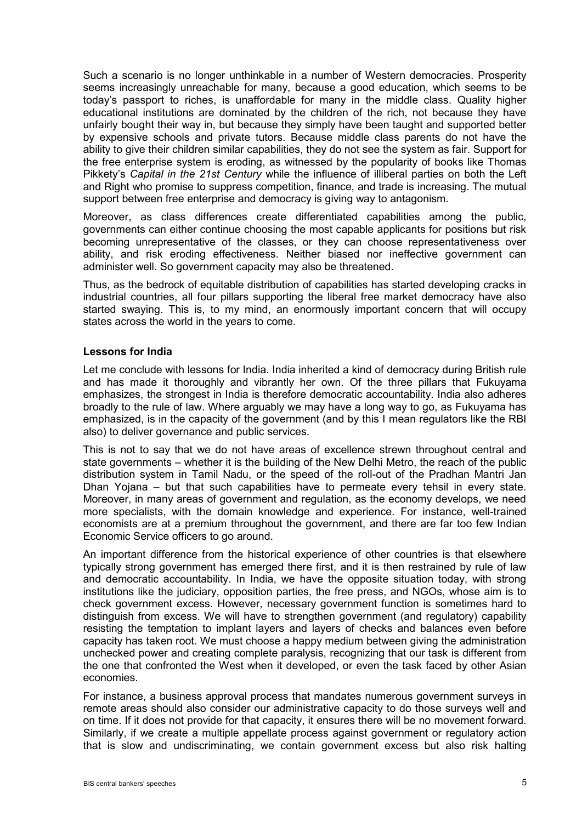Such a scenario is no longer unthinkable in a number of Western democracies. Prosperity seems increasingly unreachable for many, because a good education, which seems to be today's passport to riches, is unaffordable for many in the middle class. Quality higher educational institutions are dominated by the children of the rich, not because they have unfairly bought their way in, but because they simply have been taught and supported better by expensive schools and private tutors. Because middle class parents do not have the ability to give their children similar capabilities, they do not see the system as fair. Support for the free enterprise system is eroding, as witnessed by the popularity of books like Thomas Pikkety's *Capital in the 21st Century* while the influence of illiberal parties on both the Left and Right who promise to suppress competition, finance, and trade is increasing. The mutual support between free enterprise and democracy is giving way to antagonism.

Moreover, as class differences create differentiated capabilities among the public, governments can either continue choosing the most capable applicants for positions but risk becoming unrepresentative of the classes, or they can choose representativeness over ability, and risk eroding effectiveness. Neither biased nor ineffective government can administer well. So government capacity may also be threatened.

Thus, as the bedrock of equitable distribution of capabilities has started developing cracks in industrial countries, all four pillars supporting the liberal free market democracy have also started swaying. This is, to my mind, an enormously important concern that will occupy states across the world in the years to come.

## **Lessons for India**

Let me conclude with lessons for India. India inherited a kind of democracy during British rule and has made it thoroughly and vibrantly her own. Of the three pillars that Fukuyama emphasizes, the strongest in India is therefore democratic accountability. India also adheres broadly to the rule of law. Where arguably we may have a long way to go, as Fukuyama has emphasized, is in the capacity of the government (and by this I mean regulators like the RBI also) to deliver governance and public services.

This is not to say that we do not have areas of excellence strewn throughout central and state governments – whether it is the building of the New Delhi Metro, the reach of the public distribution system in Tamil Nadu, or the speed of the roll-out of the Pradhan Mantri Jan Dhan Yojana – but that such capabilities have to permeate every tehsil in every state. Moreover, in many areas of government and regulation, as the economy develops, we need more specialists, with the domain knowledge and experience. For instance, well-trained economists are at a premium throughout the government, and there are far too few Indian Economic Service officers to go around.

An important difference from the historical experience of other countries is that elsewhere typically strong government has emerged there first, and it is then restrained by rule of law and democratic accountability. In India, we have the opposite situation today, with strong institutions like the judiciary, opposition parties, the free press, and NGOs, whose aim is to check government excess. However, necessary government function is sometimes hard to distinguish from excess. We will have to strengthen government (and regulatory) capability resisting the temptation to implant layers and layers of checks and balances even before capacity has taken root. We must choose a happy medium between giving the administration unchecked power and creating complete paralysis, recognizing that our task is different from the one that confronted the West when it developed, or even the task faced by other Asian economies.

For instance, a business approval process that mandates numerous government surveys in remote areas should also consider our administrative capacity to do those surveys well and on time. If it does not provide for that capacity, it ensures there will be no movement forward. Similarly, if we create a multiple appellate process against government or regulatory action that is slow and undiscriminating, we contain government excess but also risk halting